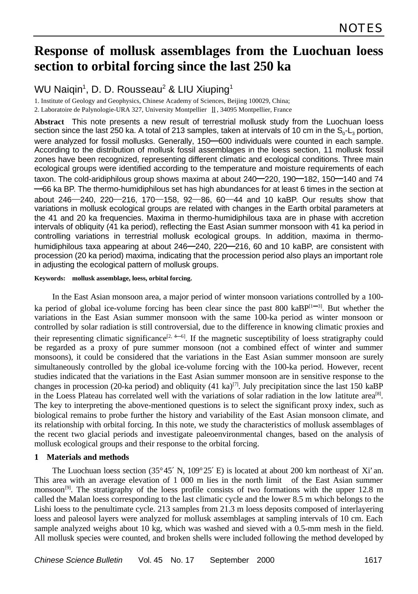# **Response of mollusk assemblages from the Luochuan loess section to orbital forcing since the last 250 ka**

### WU Naiqin<sup>1</sup>, D. D. Rousseau<sup>2</sup> & LIU Xiuping<sup>1</sup>

1. Institute of Geology and Geophysics, Chinese Academy of Sciences, Beijing 100029, China;

2. Laboratoire de Palynologie-URA 327, University Montpellier II, 34095 Montpellier, France

**Abstract** This note presents a new result of terrestrial mollusk study from the Luochuan loess section since the last 250 ka. A total of 213 samples, taken at intervals of 10 cm in the  $\mathsf{S}_{\text{o}}\text{-}\mathsf{L}_{\text{3}}$  portion, were analyzed for fossil mollusks. Generally, 150-600 individuals were counted in each sample. According to the distribution of mollusk fossil assemblages in the loess section, 11 mollusk fossil zones have been recognized, representing different climatic and ecological conditions. Three main ecological groups were identified according to the temperature and moisture requirements of each taxon. The cold-aridiphilous group shows maxima at about  $240 - 220$ ,  $190 - 182$ ,  $150 - 140$  and 74  $-66$  ka BP. The thermo-humidiphilous set has high abundances for at least 6 times in the section at about 246  $-$  240, 220 $-$  216, 170 $-$  158, 92 $-$  86, 60 $-$  44 and 10 kaBP. Our results show that variations in mollusk ecological groups are related with changes in the Earth orbital parameters at the 41 and 20 ka frequencies. Maxima in thermo-humidiphilous taxa are in phase with accretion intervals of obliquity (41 ka period), reflecting the East Asian summer monsoon with 41 ka period in controlling variations in terrestrial mollusk ecological groups. In addition, maxima in thermohumidiphilous taxa appearing at about 246–240, 220–216, 60 and 10 kaBP, are consistent with procession (20 ka period) maxima, indicating that the procession period also plays an important role in adjusting the ecological pattern of mollusk groups.

#### **Keywords: mollusk assemblage, loess, orbital forcing.**

In the East Asian monsoon area, a major period of winter monsoon variations controlled by a 100 ka period of global ice-volume forcing has been clear since the past 800 kaBP $[1-3]$ . But whether the variations in the East Asian summer monsoon with the same 100-ka period as winter monsoon or controlled by solar radiation is still controversial, due to the difference in knowing climatic proxies and their representing climatic significance<sup>[2, 4–6]</sup>. If the magnetic susceptibility of loess stratigraphy could be regarded as a proxy of pure summer monsoon (not a combined effect of winter and summer monsoons), it could be considered that the variations in the East Asian summer monsoon are surely simultaneously controlled by the global ice-volume forcing with the 100-ka period. However, recent studies indicated that the variations in the East Asian summer monsoon are in sensitive response to the changes in procession (20-ka period) and obliquity (41 ka)<sup>[7]</sup>. July precipitation since the last 150 kaBP in the Loess Plateau has correlated well with the variations of solar radiation in the low latitute area<sup>[8]</sup>. The key to interpreting the above-mentioned questions is to select the significant proxy index, such as biological remains to probe further the history and variability of the East Asian monsoon climate, and its relationship with orbital forcing. In this note, we study the characteristics of mollusk assemblages of the recent two glacial periods and investigate paleoenvironmental changes, based on the analysis of mollusk ecological groups and their response to the orbital forcing.

#### **1 Materials and methods**

The Luochuan loess section (35°45′ N, 109°25′ E) is located at about 200 km northeast of Xi'an. This area with an average elevation of 1 000 m lies in the north limit of the East Asian summer monsoon<sup>[9]</sup>. The stratigraphy of the loess profile consists of two formations with the upper 12.8 m called the Malan loess corresponding to the last climatic cycle and the lower 8.5 m which belongs to the Lishi loess to the penultimate cycle. 213 samples from 21.3 m loess deposits composed of interlayering loess and paleosol layers were analyzed for mollusk assemblages at sampling intervals of 10 cm. Each sample analyzed weighs about 10 kg, which was washed and sieved with a 0.5-mm mesh in the field. All mollusk species were counted, and broken shells were included following the method developed by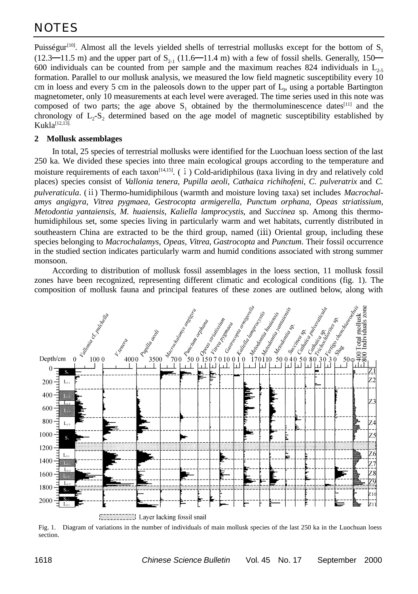Puisségur<sup>[10]</sup>. Almost all the levels yielded shells of terrestrial mollusks except for the bottom of  $S<sub>1</sub>$  $(12.3 - 11.5 \text{ m})$  and the upper part of  $S_{2,1}$   $(11.6 - 11.4 \text{ m})$  with a few of fossil shells. Generally, 150 600 individuals can be counted from per sample and the maximum reaches 824 individuals in  $L_{2.5}$ formation. Parallel to our mollusk analysis, we measured the low field magnetic susceptibility every 10 cm in loess and every 5 cm in the paleosols down to the upper part of L<sub>3</sub>, using a portable Bartington magnetometer, only 10 measurements at each level were averaged. The time series used in this note was composed of two parts; the age above  $S_1$  obtained by the thermoluminescence dates<sup>[11]</sup> and the chronology of  $L_2$ - $S_2$  determined based on the age model of magnetic susceptibility established by  $Kukla^{[12,13]}$ .

#### **2 Mollusk assemblages**

In total, 25 species of terrestrial mollusks were identified for the Luochuan loess section of the last 250 ka. We divided these species into three main ecological groups according to the temperature and moisture requirements of each taxon<sup>[14,15]</sup>. ( $\overline{i}$ ) Cold-aridiphilous (taxa living in dry and relatively cold places) species consist of *Vallonia tenera, Pupilla aeoli, Cathaica richihofeni, C. pulveratrix* and *C. pulveraticula*. (ii) Thermo-humidiphilous (warmth and moisture loving taxa) set includes *Macrochalamys angigyra, Vitrea pygmaea, Gestrocopta armigerella, Punctum orphana, Opeas striatissium, Metodontia yantaiensis, M. huaiensis, Kaliella lamprocystis*, and *Succinea* sp. Among this thermohumidiphilous set, some species living in particularly warm and wet habitats, currently distributed in southeastern China are extracted to be the third group, named (iii) Oriental group, including these species belonging to *Macrochalamys, Opeas, Vitrea, Gastrocopta* and *Punctum*. Their fossil occurrence in the studied section indicates particularly warm and humid conditions associated with strong summer monsoon.

According to distribution of mollusk fossil assemblages in the loess section, 11 mollusk fossil zones have been recognized, representing different climatic and ecological conditions (fig. 1). The composition of mollusk fauna and principal features of these zones are outlined below, along with



Fig. 1. Diagram of variations in the number of individuals of main mollusk species of the last 250 ka in the Luochuan loess section.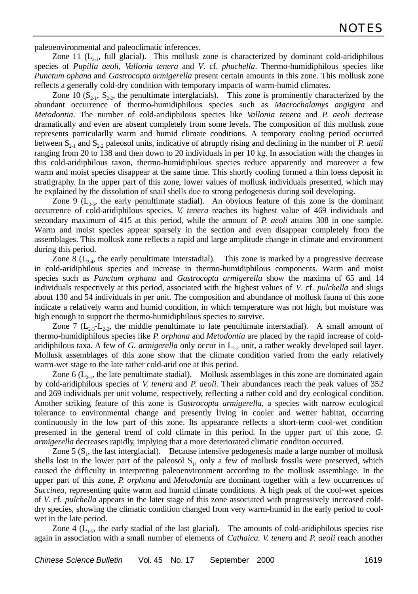paleoenvironmental and paleoclimatic inferences.

Zone 11  $(L_{31},$  full glacial). This mollusk zone is characterized by dominant cold-aridiphilous species of *Pupilla aeoli, Vallonia tenera* and *V*. cf. *phuchella*. Thermo-humidiphilous species like *Punctum ophana* and *Gastrocopta armigerella* present certain amounts in this zone. This mollusk zone reflects a generally cold-dry condition with temporary impacts of warm-humid climates.

Zone 10 ( $S_{2,1}$ ,  $S_{2,2}$ , the penultimate interglacials). This zone is prominently characterized by the abundant occurrence of thermo-humidiphilous species such as *Macrochalamys angigyra* and *Metodontia*. The number of cold-aridiphilous species like *Vallonia tenera* and *P. aeoli* decrease dramatically and even are absent completely from some levels. The composition of this mollusk zone represents particularlly warm and humid climate conditions. A temporary cooling period occurred between  $S_{2-1}$  and  $S_{2-2}$  paleosol units, indicative of abruptly rising and declining in the number of *P. aeoli* ranging from 20 to 138 and then down to 20 individuals in per 10 kg. In association with the changes in this cold-aridiphilous taxon, thermo-humidiphilous species reduce apparently and moreover a few warm and moist species disappear at the same time. This shortly cooling formed a thin loess deposit in stratigraphy. In the upper part of this zone, lower values of mollusk individuals presented, which may be explained by the dissolution of snail shells due to strong pedogenesis during soil developing.

Zone 9 ( $L_{2,5}$ , the early penultimate stadial). An obvious feature of this zone is the dominant occurrence of cold-aridiphilous species. *V. tenera* reaches its highest value of 469 individuals and secondary maximum of 415 at this period, while the amount of *P. aeoli* attains 308 in one sample. Warm and moist species appear sparsely in the section and even disappear completely from the assemblages. This mollusk zone reflects a rapid and large amplitude change in climate and environment during this period.

Zone 8 ( $L_{2,4}$ , the early penultimate interstadial). This zone is marked by a progressive decrease in cold-aridiphilous species and increase in thermo-humidiphilous components. Warm and moist species such as *Punctum orphana* and *Gastrocopta armigerella* show the maxima of 65 and 14 individuals respectively at this period, associated with the highest values of *V*. cf. *pulchella* and slugs about 130 and 54 individuals in per unit. The composition and abundance of mollusk fauna of this zone indicate a relatively warm and humid condition, in which temperature was not high, but moisture was high enough to support the thermo-humidiphilous species to survive.

Zone 7 ( $L_{2,3}$ - $L_{2,2}$ , the middle penultimate to late penultimate interstadial). A small amount of thermo-humidiphilous species like *P. orphana* and *Metodontia* are placed by the rapid increase of coldaridiphilous taxa. A few of *G. armigerella* only occur in  $L_{22}$  unit, a rather weakly developed soil layer. Mollusk assemblages of this zone show that the climate condition varied from the early relatively warm-wet stage to the late rather cold-arid one at this period.

Zone 6 ( $L_{2,1}$ , the late penultimate stadial). Mollusk assemblages in this zone are dominated again by cold-aridiphilous species of *V. tenera* and *P. aeoli*. Their abundances reach the peak values of 352 and 269 individuals per unit volume, respectively, reflecting a rather cold and dry ecological condition. Another striking feature of this zone is *Gastrocopta armigerella*, a species with narrow ecological tolerance to environmental change and presently living in cooler and wetter habitat, occurring continuously in the low part of this zone. Its appearance reflects a short-term cool-wet condition presented in the general trend of cold climate in this period. In the upper part of this zone, *G. armigerella* decreases rapidly, implying that a more deteriorated climatic conditon occurred.

Zone  $5(S<sub>1</sub>$ , the last interglacial). Because intensive pedogenesis made a large number of mollusk shells lost in the lower part of the paleosol  $S<sub>1</sub>$ , only a few of mollusk fossils were preserved, which caused the difficulty in interpreting paleoenvironment according to the mollusk assemblage. In the upper part of this zone, *P. orphana* and *Metodontia* are dominant together with a few occurrences of *Succinea*, representing quite warm and humid climate conditions. A high peak of the cool-wet speices of *V*. cf. *pulchella* appears in the later stage of this zone associated with progressively increased colddry species, showing the climatic condition changed from very warm-humid in the early period to coolwet in the late period.

Zone 4  $(L<sub>1.5</sub>)$ , the early stadial of the last glacial). The amounts of cold-aridiphilous species rise again in association with a small number of elements of *Cathaica*. *V. tenera* and *P. aeoli* reach another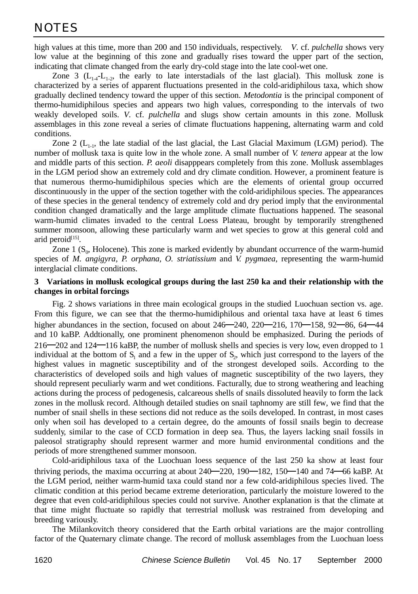high values at this time, more than 200 and 150 individuals, respectively. *V*. cf. *pulchella* shows very low value at the beginning of this zone and gradually rises toward the upper part of the section, indicating that climate changed from the early dry-cold stage into the late cool-wet one.

Zone 3 ( $L_{14}$ - $L_{12}$ , the early to late interstadials of the last glacial). This mollusk zone is characterized by a series of apparent fluctuations presented in the cold-aridiphilous taxa, which show gradually declined tendency toward the upper of this section. *Metodontia* is the principal component of thermo-humidiphilous species and appears two high values, corresponding to the intervals of two weakly developed soils. *V*. cf. *pulchella* and slugs show certain amounts in this zone. Mollusk assemblages in this zone reveal a series of climate fluctuations happening, alternating warm and cold conditions.

Zone 2 ( $L_{1-1}$ , the late stadial of the last glacial, the Last Glacial Maximum (LGM) period). The number of mollusk taxa is quite low in the whole zone. A small number of *V. tenera* appear at the low and middle parts of this section. *P. aeoli* disapppears completely from this zone. Mollusk assemblages in the LGM period show an extremely cold and dry climate condition. However, a prominent feature is that numerous thermo-humidiphilous species which are the elements of oriental group occurred discontinuously in the upper of the section together with the cold-aridiphilous species. The appearances of these species in the general tendency of extremely cold and dry period imply that the environmental condition changed dramatically and the large amplitude climate fluctuations happened. The seasonal warm-humid climates invaded to the central Loess Plateau, brought by temporarily strengthened summer monsoon, allowing these particularly warm and wet species to grow at this general cold and arid peroid<sup>[15]</sup>.

Zone  $1(S_0, Holocene)$ . This zone is marked evidently by abundant occurrence of the warm-humid species of *M. angigyra, P. orphana, O. striatissium* and *V. pygmaea*, representing the warm-humid interglacial climate conditions.

#### **3 Variations in mollusk ecological groups during the last 250 ka and their relationship with the changes in orbital forcings**

Fig. 2 shows variations in three main ecological groups in the studied Luochuan section vs. age. From this figure, we can see that the thermo-humidiphilous and oriental taxa have at least 6 times higher abundances in the section, focused on about  $246 - 240$ ,  $220 - 216$ ,  $170 - 158$ ,  $92 - 86$ ,  $64 - 44$ and 10 kaBP. Addtionally, one prominent phenomenon should be emphasized. During the periods of 216 202 and 124 116 kaBP, the number of mollusk shells and species is very low, even dropped to 1 individual at the bottom of  $S_1$  and a few in the upper of  $S_2$ , which just correspond to the layers of the highest values in magnetic susceptibility and of the strongest developed soils. According to the characteristics of developed soils and high values of magnetic susceptibility of the two layers, they should represent peculiarly warm and wet conditions. Facturally, due to strong weathering and leaching actions during the process of pedogenesis, calcareous shells of snails dissoluted heavily to form the lack zones in the mollusk record. Although detailed studies on snail taphnomy are still few, we find that the number of snail shells in these sections did not reduce as the soils developed. In contrast, in most cases only when soil has developed to a certain degree, do the amounts of fossil snails begin to decrease suddenly, similar to the case of CCD formation in deep sea. Thus, the layers lacking snail fossils in paleosol stratigraphy should represent warmer and more humid environmental conditions and the periods of more strengthened summer monsoon.

Cold-aridiphilous taxa of the Luochuan loess sequence of the last 250 ka show at least four thriving periods, the maxima occurring at about  $240 - 220$ ,  $190 - 182$ ,  $150 - 140$  and  $74 - 66$  kaBP. At the LGM period, neither warm-humid taxa could stand nor a few cold-aridiphilous species lived. The climatic condition at this period became extreme deterioration, particularly the moisture lowered to the degree that even cold-aridiphilous species could not survive. Another explanation is that the climate at that time might fluctuate so rapidly that terrestrial mollusk was restrained from developing and breeding variously.

The Milankovitch theory considered that the Earth orbital variations are the major controlling factor of the Quaternary climate change. The record of mollusk assemblages from the Luochuan loess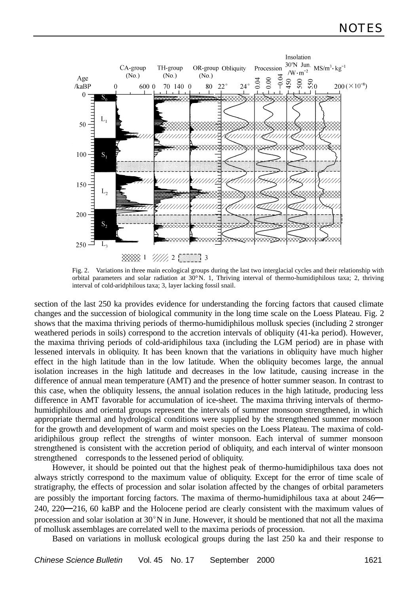

Fig. 2. Variations in three main ecological groups during the last two interglacial cycles and their relationship with orbital parameters and solar radiation at 30°N. 1, Thriving interval of thermo-humidiphilous taxa; 2, thriving interval of cold-aridphilous taxa; 3, layer lacking fossil snail.

section of the last 250 ka provides evidence for understanding the forcing factors that caused climate changes and the succession of biological community in the long time scale on the Loess Plateau. Fig. 2 shows that the maxima thriving periods of thermo-humidiphilous mollusk species (including 2 stronger weathered periods in soils) correspond to the accretion intervals of obliquity (41-ka period). However, the maxima thriving periods of cold-aridiphilous taxa (including the LGM period) are in phase with lessened intervals in obliquity. It has been known that the variations in obliquity have much higher effect in the high latitude than in the low latitude. When the obliquity becomes large, the annual isolation increases in the high latitude and decreases in the low latitude, causing increase in the difference of annual mean temperature (AMT) and the presence of hotter summer season. In contrast to this case, when the obliquity lessens, the annual isolation reduces in the high latitude, producing less difference in AMT favorable for accumulation of ice-sheet. The maxima thriving intervals of thermohumidiphilous and oriental groups represent the intervals of summer monsoon strengthened, in which appropriate thermal and hydrological conditions were supplied by the strengthened summer monsoon for the growth and development of warm and moist species on the Loess Plateau. The maxima of coldaridiphilous group reflect the strengths of winter monsoon. Each interval of summer monsoon strengthened is consistent with the accretion period of obliquity, and each interval of winter monsoon strengthened corresponds to the lessened period of obliquity.

However, it should be pointed out that the highest peak of thermo-humidiphilous taxa does not always strictly correspond to the maximum value of obliquity. Except for the error of time scale of stratigraphy, the effects of procession and solar isolation affected by the changes of orbital parameters are possibly the important forcing factors. The maxima of thermo-humidiphilous taxa at about 246 240, 220 216, 60 kaBP and the Holocene period are clearly consistent with the maximum values of procession and solar isolation at  $30^\circ$ N in June. However, it should be mentioned that not all the maxima of mollusk assemblages are correlated well to the maxima periods of procession.

Based on variations in mollusk ecological groups during the last 250 ka and their response to